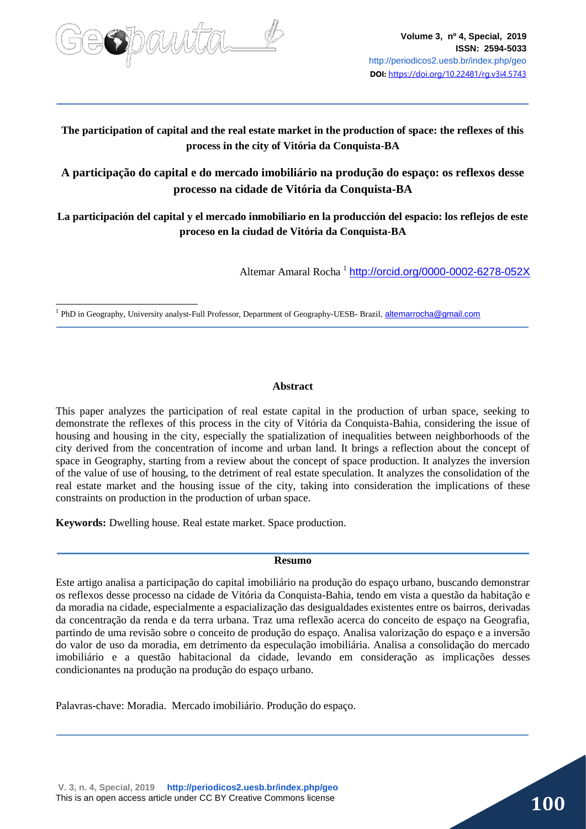

# **The participation of capital and the real estate market in the production of space: the reflexes of this process in the city of Vitória da Conquista-BA**

**A participação do capital e do mercado imobiliário na produção do espaço: os reflexos desse processo na cidade de Vitória da Conquista-BA**

**La participación del capital y el mercado inmobiliario en la producción del espacio: los reflejos de este proceso en la ciudad de Vitória da Conquista-BA**

Altemar Amaral Rocha <sup>1</sup> <http://orcid.org/0000-0002-6278-052X>

1 PhD in Geography, University analyst-Full Professor, Department of Geography-UESB- Brazil, [altemarrocha@gmail.com](mailto:altemarrocha@gmail.com)

### **Abstract**

This paper analyzes the participation of real estate capital in the production of urban space, seeking to demonstrate the reflexes of this process in the city of Vitória da Conquista-Bahia, considering the issue of housing and housing in the city, especially the spatialization of inequalities between neighborhoods of the city derived from the concentration of income and urban land. It brings a reflection about the concept of space in Geography, starting from a review about the concept of space production. It analyzes the inversion of the value of use of housing, to the detriment of real estate speculation. It analyzes the consolidation of the real estate market and the housing issue of the city, taking into consideration the implications of these constraints on production in the production of urban space.

**Keywords:** Dwelling house. Real estate market. Space production.

#### **Resumo**

Este artigo analisa a participação do capital imobiliário na produção do espaço urbano, buscando demonstrar os reflexos desse processo na cidade de Vitória da Conquista-Bahia, tendo em vista a questão da habitação e da moradia na cidade, especialmente a espacialização das desigualdades existentes entre os bairros, derivadas da concentração da renda e da terra urbana. Traz uma reflexão acerca do conceito de espaço na Geografia, partindo de uma revisão sobre o conceito de produção do espaço. Analisa valorização do espaço e a inversão do valor de uso da moradia, em detrimento da especulação imobiliária. Analisa a consolidação do mercado imobiliário e a questão habitacional da cidade, levando em consideração as implicações desses condicionantes na produção na produção do espaço urbano.

Palavras-chave: Moradia. Mercado imobiliário. Produção do espaço.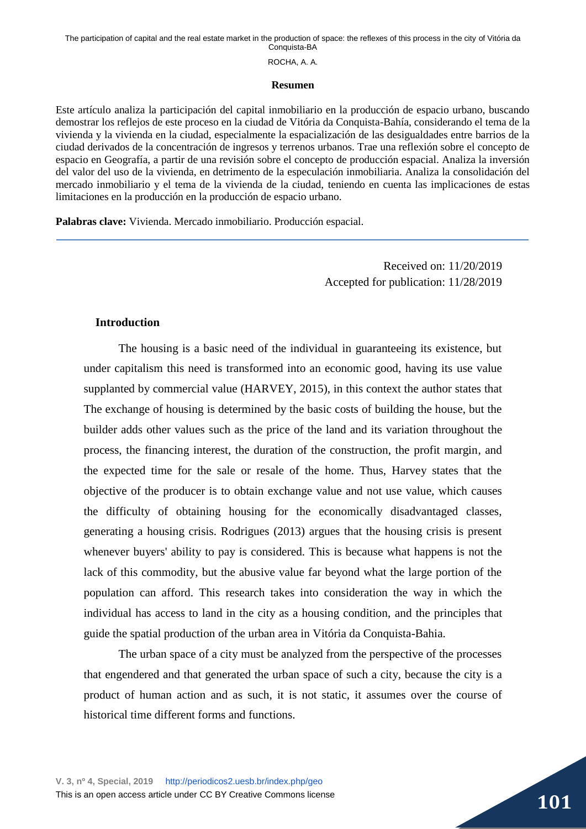#### **Resumen**

Este artículo analiza la participación del capital inmobiliario en la producción de espacio urbano, buscando demostrar los reflejos de este proceso en la ciudad de Vitória da Conquista-Bahía, considerando el tema de la vivienda y la vivienda en la ciudad, especialmente la espacialización de las desigualdades entre barrios de la ciudad derivados de la concentración de ingresos y terrenos urbanos. Trae una reflexión sobre el concepto de espacio en Geografía, a partir de una revisión sobre el concepto de producción espacial. Analiza la inversión del valor del uso de la vivienda, en detrimento de la especulación inmobiliaria. Analiza la consolidación del mercado inmobiliario y el tema de la vivienda de la ciudad, teniendo en cuenta las implicaciones de estas limitaciones en la producción en la producción de espacio urbano.

**Palabras clave:** Vivienda. Mercado inmobiliario. Producción espacial.

Received on: 11/20/2019 Accepted for publication: 11/28/2019

## **Introduction**

The housing is a basic need of the individual in guaranteeing its existence, but under capitalism this need is transformed into an economic good, having its use value supplanted by commercial value (HARVEY, 2015), in this context the author states that The exchange of housing is determined by the basic costs of building the house, but the builder adds other values such as the price of the land and its variation throughout the process, the financing interest, the duration of the construction, the profit margin, and the expected time for the sale or resale of the home. Thus, Harvey states that the objective of the producer is to obtain exchange value and not use value, which causes the difficulty of obtaining housing for the economically disadvantaged classes, generating a housing crisis. Rodrigues (2013) argues that the housing crisis is present whenever buyers' ability to pay is considered. This is because what happens is not the lack of this commodity, but the abusive value far beyond what the large portion of the population can afford. This research takes into consideration the way in which the individual has access to land in the city as a housing condition, and the principles that guide the spatial production of the urban area in Vitória da Conquista-Bahia.

The urban space of a city must be analyzed from the perspective of the processes that engendered and that generated the urban space of such a city, because the city is a product of human action and as such, it is not static, it assumes over the course of historical time different forms and functions.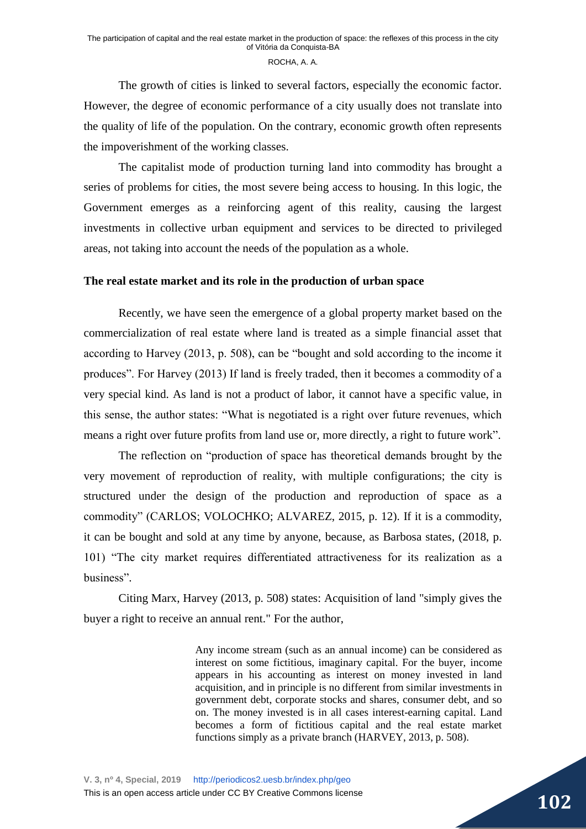The growth of cities is linked to several factors, especially the economic factor. However, the degree of economic performance of a city usually does not translate into the quality of life of the population. On the contrary, economic growth often represents the impoverishment of the working classes.

The capitalist mode of production turning land into commodity has brought a series of problems for cities, the most severe being access to housing. In this logic, the Government emerges as a reinforcing agent of this reality, causing the largest investments in collective urban equipment and services to be directed to privileged areas, not taking into account the needs of the population as a whole.

## **The real estate market and its role in the production of urban space**

Recently, we have seen the emergence of a global property market based on the commercialization of real estate where land is treated as a simple financial asset that according to Harvey (2013, p. 508), can be "bought and sold according to the income it produces". For Harvey (2013) If land is freely traded, then it becomes a commodity of a very special kind. As land is not a product of labor, it cannot have a specific value, in this sense, the author states: "What is negotiated is a right over future revenues, which means a right over future profits from land use or, more directly, a right to future work".

The reflection on "production of space has theoretical demands brought by the very movement of reproduction of reality, with multiple configurations; the city is structured under the design of the production and reproduction of space as a commodity" (CARLOS; VOLOCHKO; ALVAREZ, 2015, p. 12). If it is a commodity, it can be bought and sold at any time by anyone, because, as Barbosa states, (2018, p. 101) "The city market requires differentiated attractiveness for its realization as a business".

Citing Marx, Harvey (2013, p. 508) states: Acquisition of land "simply gives the buyer a right to receive an annual rent." For the author,

> Any income stream (such as an annual income) can be considered as interest on some fictitious, imaginary capital. For the buyer, income appears in his accounting as interest on money invested in land acquisition, and in principle is no different from similar investments in government debt, corporate stocks and shares, consumer debt, and so on. The money invested is in all cases interest-earning capital. Land becomes a form of fictitious capital and the real estate market functions simply as a private branch (HARVEY, 2013, p. 508).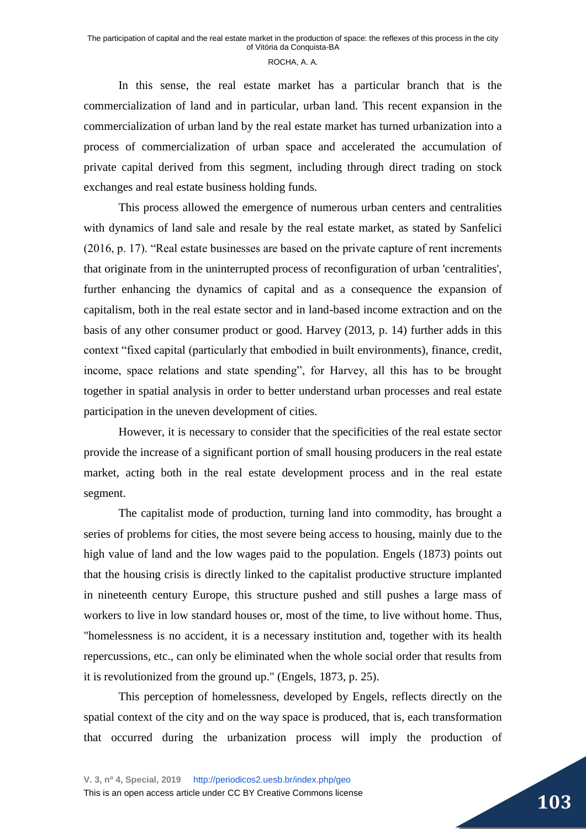In this sense, the real estate market has a particular branch that is the commercialization of land and in particular, urban land. This recent expansion in the commercialization of urban land by the real estate market has turned urbanization into a process of commercialization of urban space and accelerated the accumulation of private capital derived from this segment, including through direct trading on stock exchanges and real estate business holding funds.

This process allowed the emergence of numerous urban centers and centralities with dynamics of land sale and resale by the real estate market, as stated by Sanfelici (2016, p. 17). "Real estate businesses are based on the private capture of rent increments that originate from in the uninterrupted process of reconfiguration of urban 'centralities', further enhancing the dynamics of capital and as a consequence the expansion of capitalism, both in the real estate sector and in land-based income extraction and on the basis of any other consumer product or good. Harvey (2013, p. 14) further adds in this context "fixed capital (particularly that embodied in built environments), finance, credit, income, space relations and state spending", for Harvey, all this has to be brought together in spatial analysis in order to better understand urban processes and real estate participation in the uneven development of cities.

However, it is necessary to consider that the specificities of the real estate sector provide the increase of a significant portion of small housing producers in the real estate market, acting both in the real estate development process and in the real estate segment.

The capitalist mode of production, turning land into commodity, has brought a series of problems for cities, the most severe being access to housing, mainly due to the high value of land and the low wages paid to the population. Engels (1873) points out that the housing crisis is directly linked to the capitalist productive structure implanted in nineteenth century Europe, this structure pushed and still pushes a large mass of workers to live in low standard houses or, most of the time, to live without home. Thus, "homelessness is no accident, it is a necessary institution and, together with its health repercussions, etc., can only be eliminated when the whole social order that results from it is revolutionized from the ground up." (Engels, 1873, p. 25).

This perception of homelessness, developed by Engels, reflects directly on the spatial context of the city and on the way space is produced, that is, each transformation that occurred during the urbanization process will imply the production of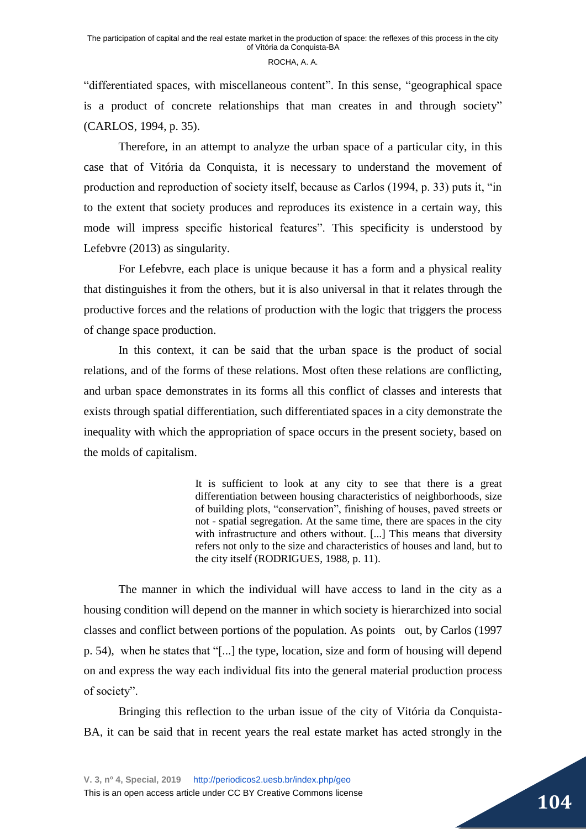"differentiated spaces, with miscellaneous content". In this sense, "geographical space is a product of concrete relationships that man creates in and through society" (CARLOS, 1994, p. 35).

Therefore, in an attempt to analyze the urban space of a particular city, in this case that of Vitória da Conquista, it is necessary to understand the movement of production and reproduction of society itself, because as Carlos (1994, p. 33) puts it, "in to the extent that society produces and reproduces its existence in a certain way, this mode will impress specific historical features". This specificity is understood by Lefebvre (2013) as singularity.

For Lefebvre, each place is unique because it has a form and a physical reality that distinguishes it from the others, but it is also universal in that it relates through the productive forces and the relations of production with the logic that triggers the process of change space production.

In this context, it can be said that the urban space is the product of social relations, and of the forms of these relations. Most often these relations are conflicting, and urban space demonstrates in its forms all this conflict of classes and interests that exists through spatial differentiation, such differentiated spaces in a city demonstrate the inequality with which the appropriation of space occurs in the present society, based on the molds of capitalism.

> It is sufficient to look at any city to see that there is a great differentiation between housing characteristics of neighborhoods, size of building plots, "conservation", finishing of houses, paved streets or not - spatial segregation. At the same time, there are spaces in the city with infrastructure and others without. [...] This means that diversity refers not only to the size and characteristics of houses and land, but to the city itself (RODRIGUES, 1988, p. 11).

The manner in which the individual will have access to land in the city as a housing condition will depend on the manner in which society is hierarchized into social classes and conflict between portions of the population. As points out, by Carlos (1997 p. 54), when he states that "[...] the type, location, size and form of housing will depend on and express the way each individual fits into the general material production process of society".

Bringing this reflection to the urban issue of the city of Vitória da Conquista-BA, it can be said that in recent years the real estate market has acted strongly in the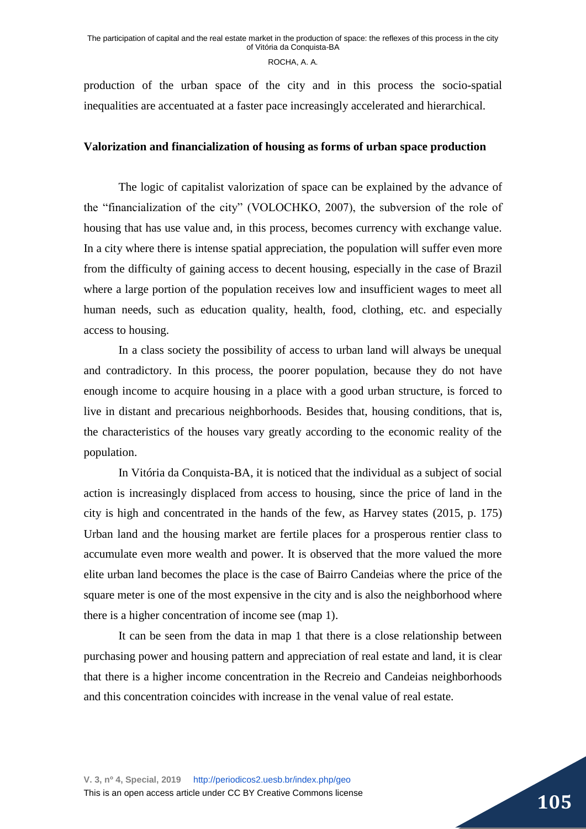production of the urban space of the city and in this process the socio-spatial inequalities are accentuated at a faster pace increasingly accelerated and hierarchical.

## **Valorization and financialization of housing as forms of urban space production**

The logic of capitalist valorization of space can be explained by the advance of the "financialization of the city" (VOLOCHKO, 2007), the subversion of the role of housing that has use value and, in this process, becomes currency with exchange value. In a city where there is intense spatial appreciation, the population will suffer even more from the difficulty of gaining access to decent housing, especially in the case of Brazil where a large portion of the population receives low and insufficient wages to meet all human needs, such as education quality, health, food, clothing, etc. and especially access to housing.

In a class society the possibility of access to urban land will always be unequal and contradictory. In this process, the poorer population, because they do not have enough income to acquire housing in a place with a good urban structure, is forced to live in distant and precarious neighborhoods. Besides that, housing conditions, that is, the characteristics of the houses vary greatly according to the economic reality of the population.

In Vitória da Conquista-BA, it is noticed that the individual as a subject of social action is increasingly displaced from access to housing, since the price of land in the city is high and concentrated in the hands of the few, as Harvey states (2015, p. 175) Urban land and the housing market are fertile places for a prosperous rentier class to accumulate even more wealth and power. It is observed that the more valued the more elite urban land becomes the place is the case of Bairro Candeias where the price of the square meter is one of the most expensive in the city and is also the neighborhood where there is a higher concentration of income see (map 1).

It can be seen from the data in map 1 that there is a close relationship between purchasing power and housing pattern and appreciation of real estate and land, it is clear that there is a higher income concentration in the Recreio and Candeias neighborhoods and this concentration coincides with increase in the venal value of real estate.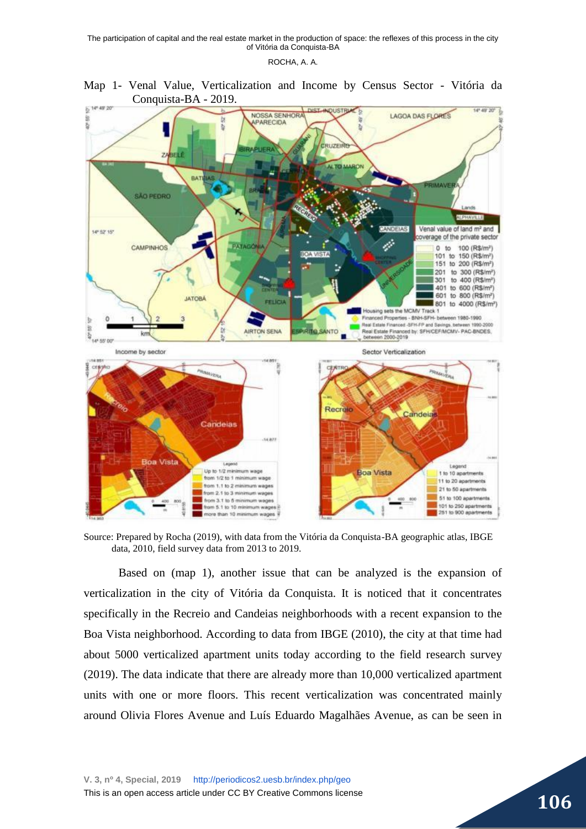

CAMPINHOS

**JATOBA** 

overage of the private sector

801 to 4000 (R\$/m<sup>2</sup>)

100 (R\$/m<sup>2</sup>) 101 to 150 (R\$/m<sup>2</sup>) 151 to 200 (R\$/m<sup>2</sup>) 201 to 300 (R\$/m<sup>2</sup>) 301 to 400 (R\$/m<sup>2</sup> 401 to 600 (R\$/m<sup>2</sup>) 601 to 800 (R\$/m<sup>2</sup>)

 $0$  to

fousing sets the MCMV Track 1<br>inanced Properties - BNH-SFH- between 1980-1990

ø

Map 1- Venal Value, Verticalization and Income by Census Sector - Vitória da



FELIC

Source: Prepared by Rocha (2019), with data from the Vitória da Conquista-BA geographic atlas, IBGE data, 2010, field survey data from 2013 to 2019.

Based on (map 1), another issue that can be analyzed is the expansion of verticalization in the city of Vitória da Conquista. It is noticed that it concentrates specifically in the Recreio and Candeias neighborhoods with a recent expansion to the Boa Vista neighborhood. According to data from IBGE (2010), the city at that time had about 5000 verticalized apartment units today according to the field research survey (2019). The data indicate that there are already more than 10,000 verticalized apartment units with one or more floors. This recent verticalization was concentrated mainly around Olivia Flores Avenue and Luís Eduardo Magalhães Avenue, as can be seen in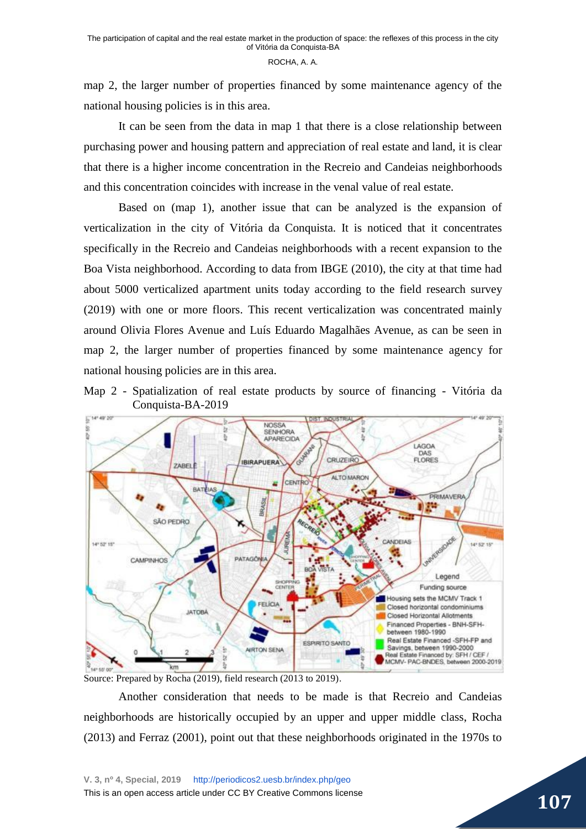map 2, the larger number of properties financed by some maintenance agency of the national housing policies is in this area.

It can be seen from the data in map 1 that there is a close relationship between purchasing power and housing pattern and appreciation of real estate and land, it is clear that there is a higher income concentration in the Recreio and Candeias neighborhoods and this concentration coincides with increase in the venal value of real estate.

Based on (map 1), another issue that can be analyzed is the expansion of verticalization in the city of Vitória da Conquista. It is noticed that it concentrates specifically in the Recreio and Candeias neighborhoods with a recent expansion to the Boa Vista neighborhood. According to data from IBGE (2010), the city at that time had about 5000 verticalized apartment units today according to the field research survey (2019) with one or more floors. This recent verticalization was concentrated mainly around Olivia Flores Avenue and Luís Eduardo Magalhães Avenue, as can be seen in map 2, the larger number of properties financed by some maintenance agency for national housing policies are in this area.

Map 2 - Spatialization of real estate products by source of financing - Vitória da Conquista-BA-2019



Source: Prepared by Rocha (2019), field research (2013 to 2019).

Another consideration that needs to be made is that Recreio and Candeias neighborhoods are historically occupied by an upper and upper middle class, Rocha (2013) and Ferraz (2001), point out that these neighborhoods originated in the 1970s to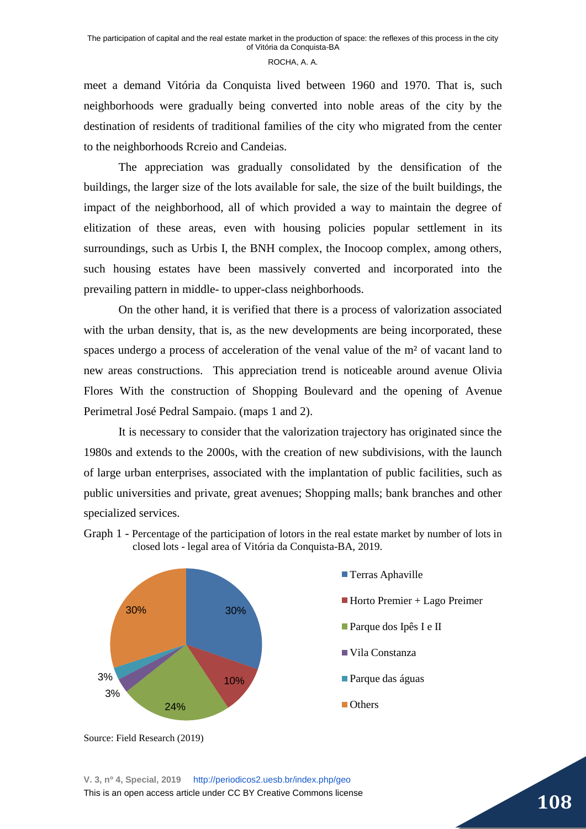meet a demand Vitória da Conquista lived between 1960 and 1970. That is, such neighborhoods were gradually being converted into noble areas of the city by the destination of residents of traditional families of the city who migrated from the center to the neighborhoods Rcreio and Candeias.

The appreciation was gradually consolidated by the densification of the buildings, the larger size of the lots available for sale, the size of the built buildings, the impact of the neighborhood, all of which provided a way to maintain the degree of elitization of these areas, even with housing policies popular settlement in its surroundings, such as Urbis I, the BNH complex, the Inocoop complex, among others, such housing estates have been massively converted and incorporated into the prevailing pattern in middle- to upper-class neighborhoods.

On the other hand, it is verified that there is a process of valorization associated with the urban density, that is, as the new developments are being incorporated, these spaces undergo a process of acceleration of the venal value of the m² of vacant land to new areas constructions. This appreciation trend is noticeable around avenue Olivia Flores With the construction of Shopping Boulevard and the opening of Avenue Perimetral José Pedral Sampaio. (maps 1 and 2).

It is necessary to consider that the valorization trajectory has originated since the 1980s and extends to the 2000s, with the creation of new subdivisions, with the launch of large urban enterprises, associated with the implantation of public facilities, such as public universities and private, great avenues; Shopping malls; bank branches and other specialized services.



Graph 1 - Percentage of the participation of lotors in the real estate market by number of lots in closed lots - legal area of Vitória da Conquista-BA, 2019.

Source: Field Research (2019)

**V. 3, nº 4, Special, 2019** http://periodicos2.uesb.br/index.php/geo This is an open access article under CC BY Creative Commons license **108**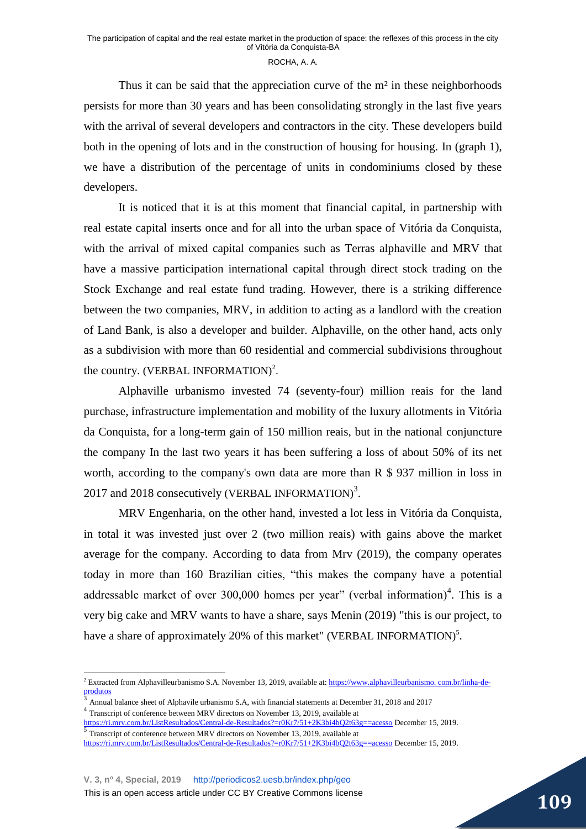Thus it can be said that the appreciation curve of the  $m<sup>2</sup>$  in these neighborhoods persists for more than 30 years and has been consolidating strongly in the last five years with the arrival of several developers and contractors in the city. These developers build both in the opening of lots and in the construction of housing for housing. In (graph 1), we have a distribution of the percentage of units in condominiums closed by these developers.

It is noticed that it is at this moment that financial capital, in partnership with real estate capital inserts once and for all into the urban space of Vitória da Conquista, with the arrival of mixed capital companies such as Terras alphaville and MRV that have a massive participation international capital through direct stock trading on the Stock Exchange and real estate fund trading. However, there is a striking difference between the two companies, MRV, in addition to acting as a landlord with the creation of Land Bank, is also a developer and builder. Alphaville, on the other hand, acts only as a subdivision with more than 60 residential and commercial subdivisions throughout the country. (VERBAL INFORMATION)<sup>2</sup>.

Alphaville urbanismo invested 74 (seventy-four) million reais for the land purchase, infrastructure implementation and mobility of the luxury allotments in Vitória da Conquista, for a long-term gain of 150 million reais, but in the national conjuncture the company In the last two years it has been suffering a loss of about 50% of its net worth, according to the company's own data are more than R \$ 937 million in loss in 2017 and 2018 consecutively (VERBAL INFORMATION)<sup>3</sup>.

MRV Engenharia, on the other hand, invested a lot less in Vitória da Conquista, in total it was invested just over 2 (two million reais) with gains above the market average for the company. According to data from Mrv (2019), the company operates today in more than 160 Brazilian cities, "this makes the company have a potential addressable market of over 300,000 homes per year" (verbal information)<sup>4</sup>. This is a very big cake and MRV wants to have a share, says Menin (2019) "this is our project, to have a share of approximately 20% of this market" (VERBAL INFORMATION)<sup>5</sup>.

-

<sup>&</sup>lt;sup>2</sup> Extracted from Alphavilleurbanismo S.A. November 13, 2019, available at: https://www.alphavilleurbanismo. com.br/linha-deprodutos

Annual balance sheet of Alphavile urbanismo S.A, with financial statements at December 31, 2018 and 2017 4 Transcript of conference between MRV directors on November 13, 2019, available at

<https://ri.mrv.com.br/ListResultados/Central-de-Resultados?=r0Kr7/51+2K3bi4bQ2t63g==acesso> December 15, 2019.<br><sup>5</sup> Transcript of conference between MRV directors on November 13, 2019, available at

<https://ri.mrv.com.br/ListResultados/Central-de-Resultados?=r0Kr7/51+2K3bi4bQ2t63g==acesso> December 15, 2019.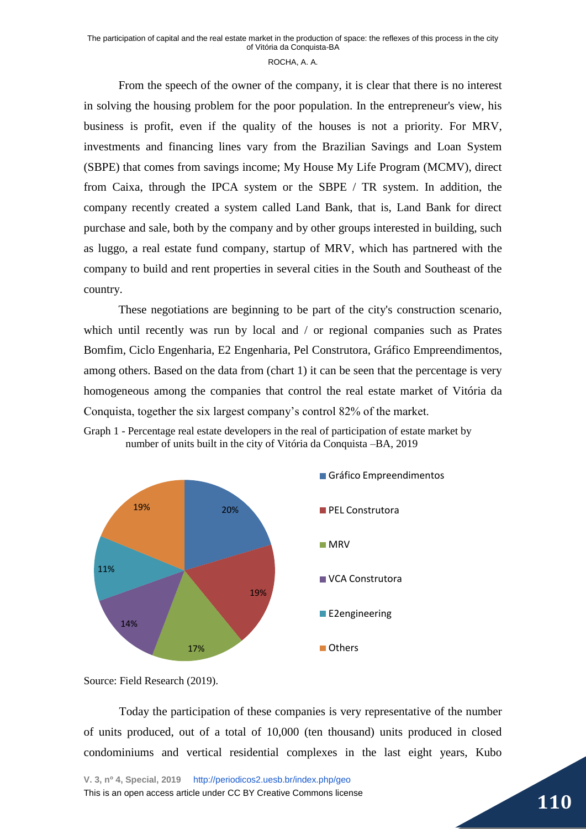From the speech of the owner of the company, it is clear that there is no interest in solving the housing problem for the poor population. In the entrepreneur's view, his business is profit, even if the quality of the houses is not a priority. For MRV, investments and financing lines vary from the Brazilian Savings and Loan System (SBPE) that comes from savings income; My House My Life Program (MCMV), direct from Caixa, through the IPCA system or the SBPE / TR system. In addition, the company recently created a system called Land Bank, that is, Land Bank for direct purchase and sale, both by the company and by other groups interested in building, such as luggo, a real estate fund company, startup of MRV, which has partnered with the company to build and rent properties in several cities in the South and Southeast of the country.

These negotiations are beginning to be part of the city's construction scenario, which until recently was run by local and / or regional companies such as Prates Bomfim, Ciclo Engenharia, E2 Engenharia, Pel Construtora, Gráfico Empreendimentos, among others. Based on the data from (chart 1) it can be seen that the percentage is very homogeneous among the companies that control the real estate market of Vitória da Conquista, together the six largest company's control 82% of the market.







Today the participation of these companies is very representative of the number of units produced, out of a total of 10,000 (ten thousand) units produced in closed condominiums and vertical residential complexes in the last eight years, Kubo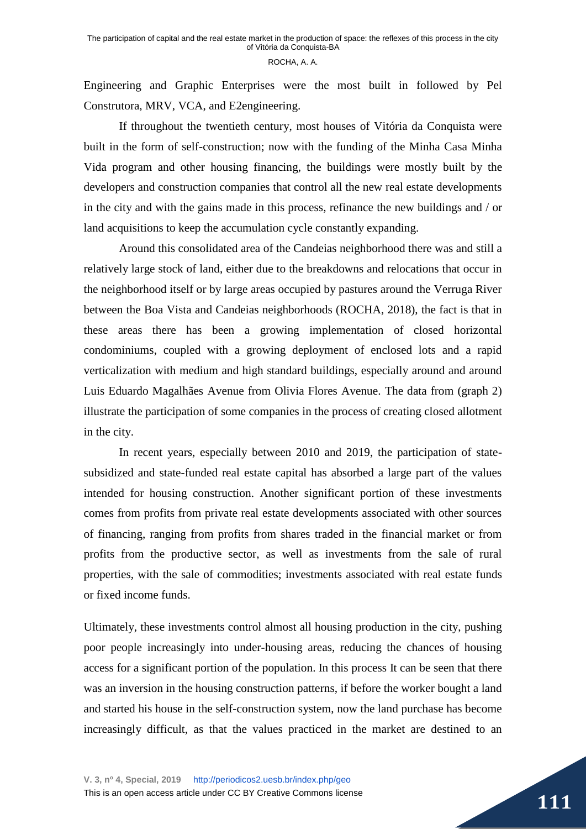Engineering and Graphic Enterprises were the most built in followed by Pel Construtora, MRV, VCA, and E2engineering.

If throughout the twentieth century, most houses of Vitória da Conquista were built in the form of self-construction; now with the funding of the Minha Casa Minha Vida program and other housing financing, the buildings were mostly built by the developers and construction companies that control all the new real estate developments in the city and with the gains made in this process, refinance the new buildings and / or land acquisitions to keep the accumulation cycle constantly expanding.

Around this consolidated area of the Candeias neighborhood there was and still a relatively large stock of land, either due to the breakdowns and relocations that occur in the neighborhood itself or by large areas occupied by pastures around the Verruga River between the Boa Vista and Candeias neighborhoods (ROCHA, 2018), the fact is that in these areas there has been a growing implementation of closed horizontal condominiums, coupled with a growing deployment of enclosed lots and a rapid verticalization with medium and high standard buildings, especially around and around Luis Eduardo Magalhães Avenue from Olivia Flores Avenue. The data from (graph 2) illustrate the participation of some companies in the process of creating closed allotment in the city.

In recent years, especially between 2010 and 2019, the participation of statesubsidized and state-funded real estate capital has absorbed a large part of the values intended for housing construction. Another significant portion of these investments comes from profits from private real estate developments associated with other sources of financing, ranging from profits from shares traded in the financial market or from profits from the productive sector, as well as investments from the sale of rural properties, with the sale of commodities; investments associated with real estate funds or fixed income funds.

Ultimately, these investments control almost all housing production in the city, pushing poor people increasingly into under-housing areas, reducing the chances of housing access for a significant portion of the population. In this process It can be seen that there was an inversion in the housing construction patterns, if before the worker bought a land and started his house in the self-construction system, now the land purchase has become increasingly difficult, as that the values practiced in the market are destined to an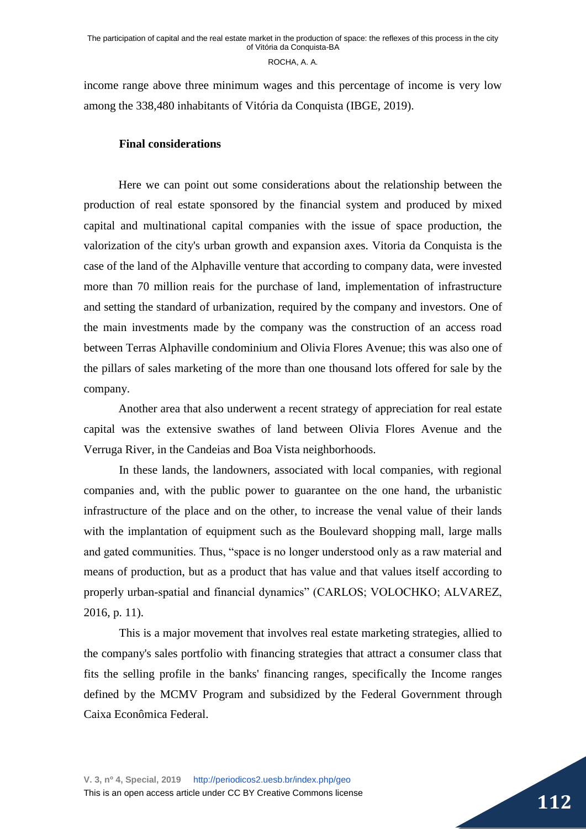income range above three minimum wages and this percentage of income is very low among the 338,480 inhabitants of Vitória da Conquista (IBGE, 2019).

## **Final considerations**

Here we can point out some considerations about the relationship between the production of real estate sponsored by the financial system and produced by mixed capital and multinational capital companies with the issue of space production, the valorization of the city's urban growth and expansion axes. Vitoria da Conquista is the case of the land of the Alphaville venture that according to company data, were invested more than 70 million reais for the purchase of land, implementation of infrastructure and setting the standard of urbanization, required by the company and investors. One of the main investments made by the company was the construction of an access road between Terras Alphaville condominium and Olivia Flores Avenue; this was also one of the pillars of sales marketing of the more than one thousand lots offered for sale by the company.

Another area that also underwent a recent strategy of appreciation for real estate capital was the extensive swathes of land between Olivia Flores Avenue and the Verruga River, in the Candeias and Boa Vista neighborhoods.

In these lands, the landowners, associated with local companies, with regional companies and, with the public power to guarantee on the one hand, the urbanistic infrastructure of the place and on the other, to increase the venal value of their lands with the implantation of equipment such as the Boulevard shopping mall, large malls and gated communities. Thus, "space is no longer understood only as a raw material and means of production, but as a product that has value and that values itself according to properly urban-spatial and financial dynamics" (CARLOS; VOLOCHKO; ALVAREZ, 2016, p. 11).

This is a major movement that involves real estate marketing strategies, allied to the company's sales portfolio with financing strategies that attract a consumer class that fits the selling profile in the banks' financing ranges, specifically the Income ranges defined by the MCMV Program and subsidized by the Federal Government through Caixa Econômica Federal.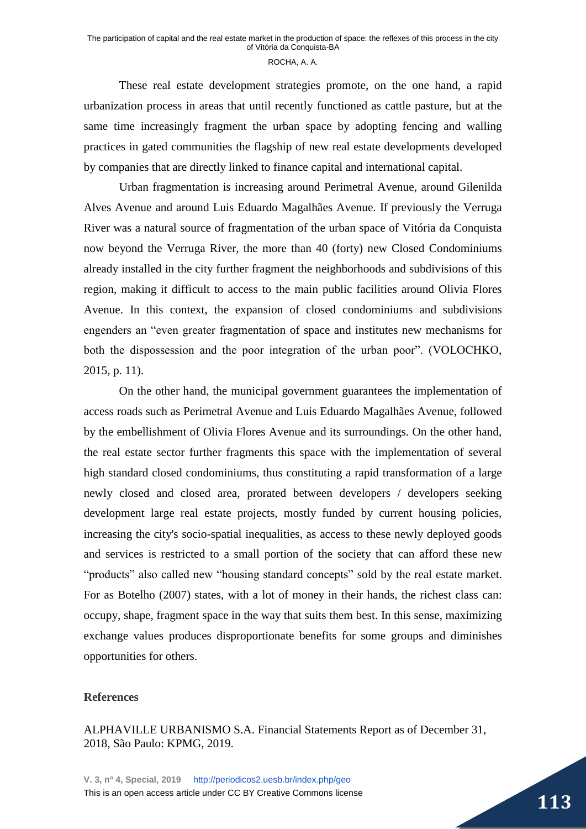These real estate development strategies promote, on the one hand, a rapid urbanization process in areas that until recently functioned as cattle pasture, but at the same time increasingly fragment the urban space by adopting fencing and walling practices in gated communities the flagship of new real estate developments developed by companies that are directly linked to finance capital and international capital.

Urban fragmentation is increasing around Perimetral Avenue, around Gilenilda Alves Avenue and around Luis Eduardo Magalhães Avenue. If previously the Verruga River was a natural source of fragmentation of the urban space of Vitória da Conquista now beyond the Verruga River, the more than 40 (forty) new Closed Condominiums already installed in the city further fragment the neighborhoods and subdivisions of this region, making it difficult to access to the main public facilities around Olivia Flores Avenue. In this context, the expansion of closed condominiums and subdivisions engenders an "even greater fragmentation of space and institutes new mechanisms for both the dispossession and the poor integration of the urban poor". (VOLOCHKO, 2015, p. 11).

On the other hand, the municipal government guarantees the implementation of access roads such as Perimetral Avenue and Luis Eduardo Magalhães Avenue, followed by the embellishment of Olivia Flores Avenue and its surroundings. On the other hand, the real estate sector further fragments this space with the implementation of several high standard closed condominiums, thus constituting a rapid transformation of a large newly closed and closed area, prorated between developers / developers seeking development large real estate projects, mostly funded by current housing policies, increasing the city's socio-spatial inequalities, as access to these newly deployed goods and services is restricted to a small portion of the society that can afford these new "products" also called new "housing standard concepts" sold by the real estate market. For as Botelho (2007) states, with a lot of money in their hands, the richest class can: occupy, shape, fragment space in the way that suits them best. In this sense, maximizing exchange values produces disproportionate benefits for some groups and diminishes opportunities for others.

## **References**

ALPHAVILLE URBANISMO S.A. Financial Statements Report as of December 31, 2018, São Paulo: KPMG, 2019.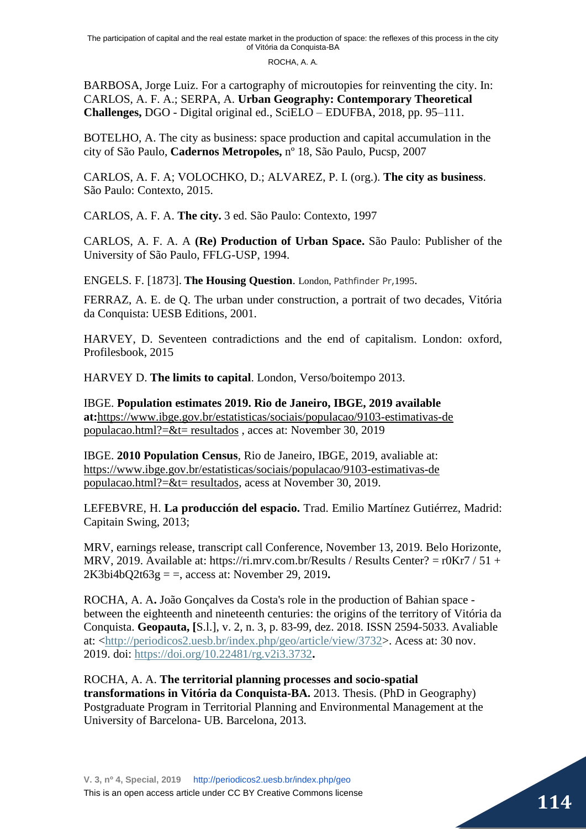BARBOSA, Jorge Luiz. For a cartography of microutopies for reinventing the city. In: CARLOS, A. F. A.; SERPA, A. **Urban Geography: Contemporary Theoretical Challenges,** DGO - Digital original ed., SciELO – EDUFBA, 2018, pp. 95–111.

BOTELHO, A. The city as business: space production and capital accumulation in the city of São Paulo, **Cadernos Metropoles,** nº 18, São Paulo, Pucsp, 2007

CARLOS, A. F. A; VOLOCHKO, D.; ALVAREZ, P. I. (org.). **The city as business**. São Paulo: Contexto, 2015.

CARLOS, A. F. A. **The city.** 3 ed. São Paulo: Contexto, 1997

CARLOS, A. F. A. A **(Re) Production of Urban Space.** São Paulo: Publisher of the University of São Paulo, FFLG-USP, 1994.

ENGELS. F. [1873]. **[The Housing Question](https://www.marxists.org/archive/marx/works/1872/housing-question/)**. London, Pathfinder Pr,1995.

FERRAZ, A. E. de Q. The urban under construction, a portrait of two decades, Vitória da Conquista: UESB Editions, 2001.

HARVEY, D. Seventeen contradictions and the end of capitalism. London: oxford, Profilesbook, 2015

HARVEY D. **The limits to capital**. London, Verso/boitempo 2013.

IBGE. **Population estimates 2019. Rio de Janeiro, IBGE, 2019 available at:**[https://www.ibge.gov.br/estatisticas/sociais/populacao/9103-estimativas-de](https://www.ibge.gov.br/estatisticas/sociais/populacao/9103-estimativas-de%20populacao.html?=&t=%20resultados)  [populacao.html?=&t= resultados](https://www.ibge.gov.br/estatisticas/sociais/populacao/9103-estimativas-de%20populacao.html?=&t=%20resultados) , acces at: November 30, 2019

IBGE. **2010 Population Census**, Rio de Janeiro, IBGE, 2019, avaliable at: [https://www.ibge.gov.br/estatisticas/sociais/populacao/9103-estimativas-de](https://www.ibge.gov.br/estatisticas/sociais/populacao/9103-estimativas-de%20populacao.html?=&t=%20resultados)  [populacao.html?=&t= resultados,](https://www.ibge.gov.br/estatisticas/sociais/populacao/9103-estimativas-de%20populacao.html?=&t=%20resultados) acess at November 30, 2019.

LEFEBVRE, H. **La producción del espacio.** Trad. Emilio Martínez Gutiérrez, Madrid: Capitain Swing, 2013;

MRV, earnings release, transcript call Conference, November 13, 2019. Belo Horizonte, MRV, 2019. Available at: https://ri.mrv.com.br/Results / Results Center? = r0Kr7 / 51 + 2K3bi4bQ2t63g = =, access at: November 29, 2019**.**

ROCHA, A. A**.** João Gonçalves da Costa's role in the production of Bahian space between the eighteenth and nineteenth centuries: the origins of the territory of Vitória da Conquista. **Geopauta, [**S.l.], v. 2, n. 3, p. 83-99, dez. 2018. ISSN 2594-5033. Avaliable at: [<http://periodicos2.uesb.br/index.php/geo/article/view/3732>](http://periodicos2.uesb.br/index.php/geo/article/view/3732). Acess at: 30 nov. 2019. doi: <https://doi.org/10.22481/rg.v2i3.3732>**.**

ROCHA, A. A. **The territorial planning processes and socio-spatial transformations in Vitória da Conquista-BA.** 2013. Thesis. (PhD in Geography) Postgraduate Program in Territorial Planning and Environmental Management at the University of Barcelona- UB. Barcelona, 2013.